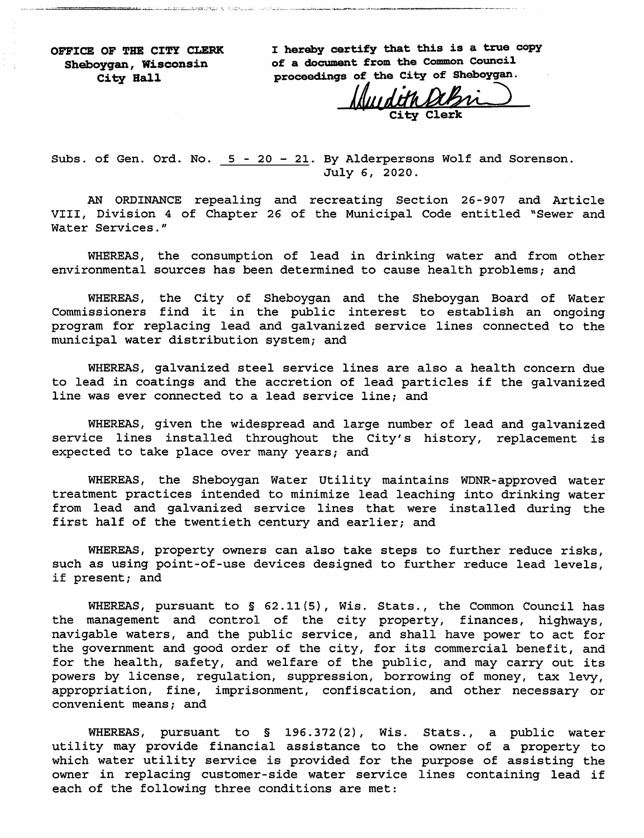OFFICE OF THE CITY CLERK I hereby certify that this is a true copy<br>Sheboygan, Wisconsin of a document from the Common Council of a document from the Common Council City Hall proceedings of the City of Sheboygan.

Clerk

Subs, of Gen. Ord. No. 5 - 20 - 21. By Alderpersons Wolf and Sorenson. July e, 2020.

AN ORDINANCE repealing and recreating Section 26-907 and Article VIII, Division 4 of Chapter 26 of the Municipal Code entitled ''Sewer and Water Services."

WHEREAS, the consumption of lead in drinking water and from other environmental sources has been determined to cause health problems; and

WHEREAS, the City of Sheboygan and the Sheboygan Board of Water Commissioners find it in the public interest to establish an ongoing program for replacing lead and galvanized service lines connected to the municipal water distribution system; and

WHEREAS, galvanized steel service lines are also a health concern due to lead in coatings and the accretion of lead particles if the galvanized line was ever connected to a lead service line; and

WHEREAS, given the widespread and large number of lead and galvanized service lines installed throughout the City's history, replacement is expected to take place over many years; and

WHEREAS, the Sheboygan Water Utility maintains WDNR-approved water treatment practices intended to minimize lead leaching into drinking water from lead and galvanized service lines that were installed during the first half of the twentieth century and earlier; and

WHEREAS, property owners can also take steps to further reduce risks, such as using point-of-use devices designed to further reduce lead levels, if present; and

WHEREAS, pursuant to § 62.11(5), Wis. Stats., the Common Council has the management and control of the city property, finances, highways, navigable waters, and the public service, and shall have power to act for the government and good order of the city, for its commercial benefit, and for the health, safety, and welfare of the public, and may carry out its powers by license, regulation, suppression, borrowing of money, tax levy, appropriation, fine, imprisonment, confiscation, and other necessary or convenient means; and

WHEREAS, pursuant to § 196.372(2), Wis. Stats., a public water utility may provide financial assistance to the owner of a property to which water utility service is provided for the purpose of assisting the owner in replacing customer-side water service lines containing lead if each of the following three conditions are met: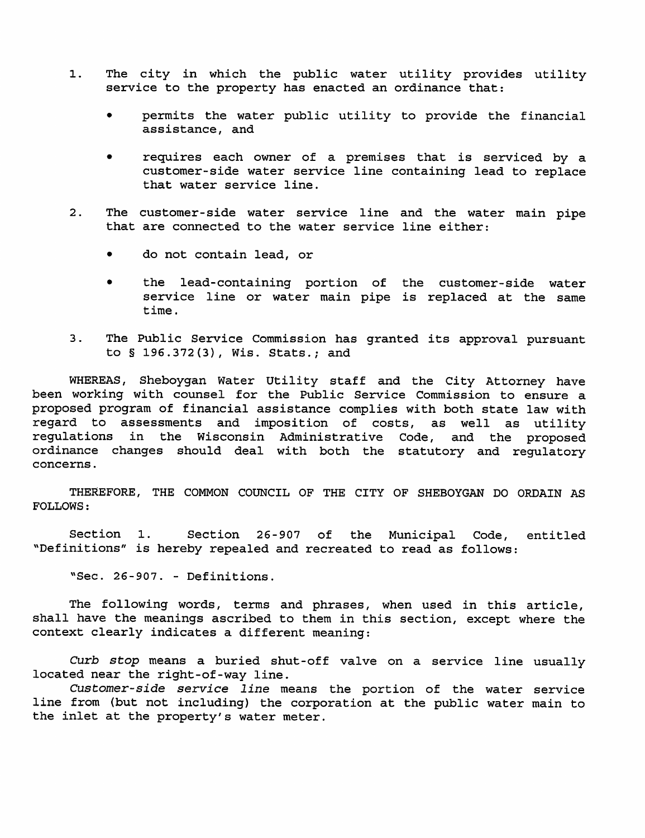- The city in which the public water utility provides utility  $\mathbf{1}$ . service to the property has enacted an ordinance that:
	- permits the water public utility to provide the financial assistance, and
	- $\bullet$ requires each owner of a premises that is serviced by a customer-side water service line containing lead to replace that water service line.
- $2.1$ The customer-side water service line and the water main pipe that are connected to the water service line either:
	- do not contain lead, or
	- the lead-containing portion of the customer-side water service line or water main pipe is replaced at the same time.
- The Public Service Commission has granted its approval pursuant  $3<sub>1</sub>$ to § 196.372(3), Wis. Stats.; and

WHEREAS, Sheboygan Water Utility staff and the City Attorney have been working with counsel for the Public Service Commission to ensure a proposed program of financial assistance complies with both state law with regard to assessments and imposition of costs, as well as utility regulations in the Wisconsin Administrative Code, and the proposed ordinance changes should deal with both the statutory and regulatory concerns.

THEREFORE, THE COMMON COUNCIL OF THE CITY OF SHEBOYGAN DO ORDAIN AS **FOLLOWS:** 

Section 1. Section 26-907 of the Municipal Code, entitled "Definitions" is hereby repealed and recreated to read as follows:

"Sec. 26-907. - Definitions.

The following words, terms and phrases, when used in this article, shall have the meanings ascribed to them in this section, except where the context clearly indicates a different meaning:

Curb stop means a buried shut-off valve on a service line usually located near the right-of-way line.

Customer-side service line means the portion of the water service line from (but not including) the corporation at the public water main to the inlet at the property's water meter.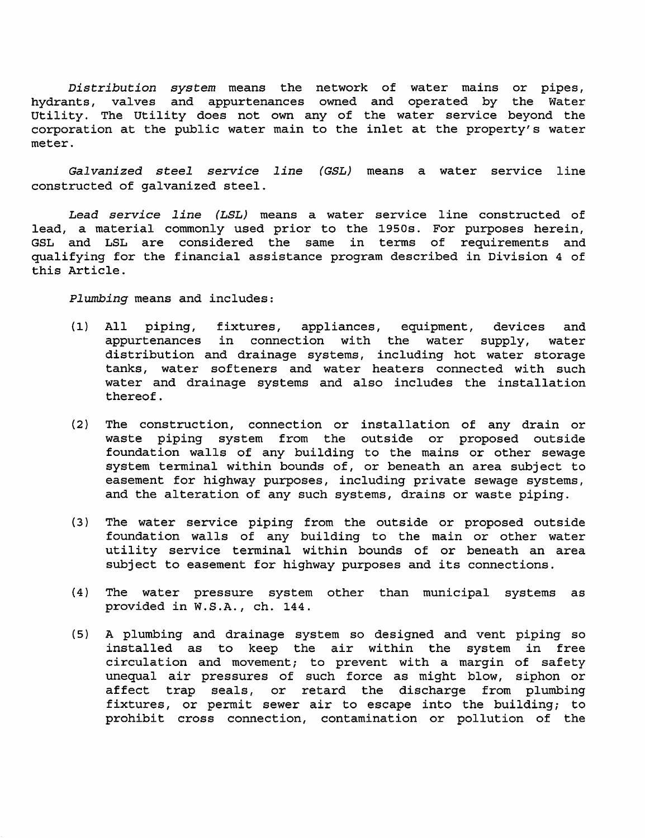Distribution system means the network of water mains or pipes, hydrants, valves and appurtenances owned and operated by the Water Utility. The Utility does not own any of the water service beyond the corporation at the public water main to the inlet at the property's water meter.

Galvanized steel service line (GSL) means a water service line constructed of galvanized steel.

Lead service line (LSL) means a water service line constructed of lead, a material commonly used prior to the 1950s. For purposes herein, GSL and LSL are considered the same in terms of requirements and qualifying for the financial assistance program described in Division 4 of this Article.

Plumbing means and includes:

- All piping, fixtures, appliances, equipment, devices and  $(1)$ appurtenances in connection with the water supply, water distribution and drainage systems, including hot water storage tanks, water softeners and water heaters connected with such water and drainage systems and also includes the installation thereof.
- The construction, connection or installation of any drain or  $(2)$ waste piping system from the outside or proposed outside foundation walls of any building to the mains or other sewage system terminal within bounds of, or beneath an area subject to easement for highway purposes, including private sewage systems, and the alteration of any such systems, drains or waste piping.
- (3) The water service piping from the outside or proposed outside foundation walls of any building to the main or other water utility service terminal within bounds of or beneath an area subject to easement for highway purposes and its connections.
- $(4)$ The water pressure system other than municipal systems as provided in W.S.A., ch. 144.
- (5) A plumbing and drainage system so designed and vent piping so installed as to keep the air within the system in free circulation and movement; to prevent with a margin of safety unequal air pressures of such force as might blow, siphon or affect trap seals, or retard the discharge from plumbing fixtures, or permit sewer air to escape into the building; to prohibit cross connection, contamination or pollution of the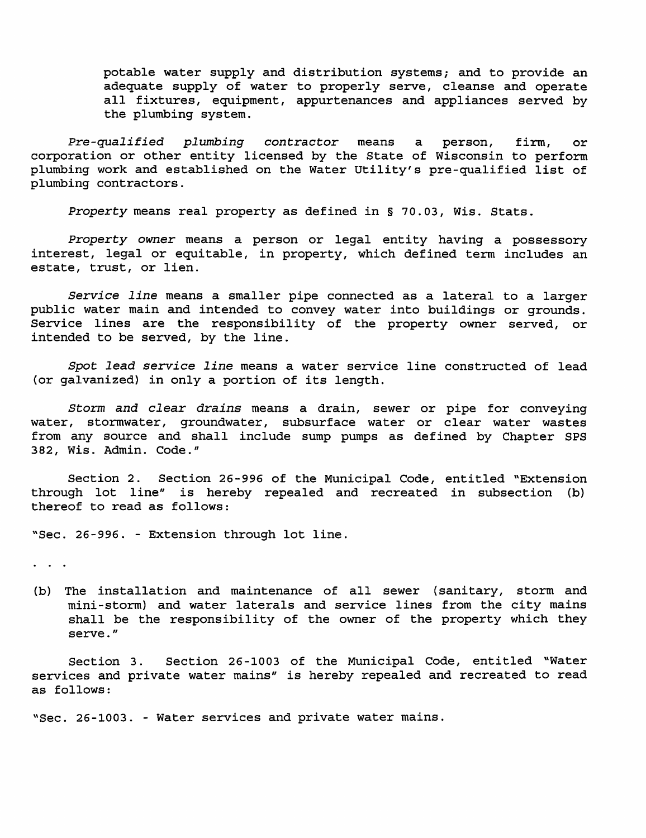potable water supply and distribution systems; and to provide an adequate supply of water to properly serve, cleanse and operate all fixtures, equipment, appurtenances and appliances served by the plumbing system.

Pre-qualified plumbing contractor means  $\mathbf{a}$ person, firm, or corporation or other entity licensed by the State of Wisconsin to perform plumbing work and established on the Water Utility's pre-qualified list of plumbing contractors.

Property means real property as defined in § 70.03, Wis. Stats.

Property owner means a person or legal entity having a possessory interest, legal or equitable, in property, which defined term includes an estate, trust, or lien.

Service line means a smaller pipe connected as a lateral to a larger public water main and intended to convey water into buildings or grounds. Service lines are the responsibility of the property owner served, or intended to be served, by the line.

Spot lead service line means a water service line constructed of lead (or galvanized) in only a portion of its length.

Storm and clear drains means a drain, sewer or pipe for conveying water, stormwater, groundwater, subsurface water or clear water wastes from any source and shall include sump pumps as defined by Chapter SPS 382, Wis. Admin. Code."

Section 2. Section 26-996 of the Municipal Code, entitled "Extension through lot line" is hereby repealed and recreated in subsection (b) thereof to read as follows:

"Sec. 26-996. - Extension through lot line.

 $\bullet$  .  $\bullet$  .  $\bullet$  .

(b) The installation and maintenance of all sewer (sanitary, storm and mini-storm) and water laterals and service lines from the city mains shall be the responsibility of the owner of the property which they serve."

Section 26-1003 of the Municipal Code, entitled "Water Section 3. services and private water mains" is hereby repealed and recreated to read as follows:

"Sec. 26-1003. - Water services and private water mains.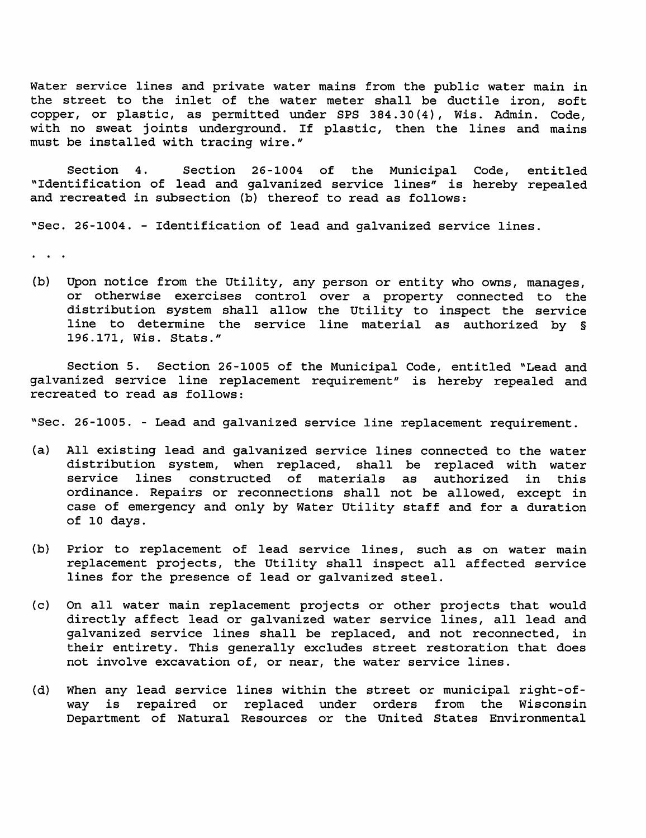Water service lines and private water mains from the public water main in the street to the inlet of the water meter shall be ductile iron, soft copper, or plastic, as permitted under SPS 384.30(4), Wis. Admin. Code, with no sweat joints underground. If plastic, then the lines and mains must be installed with tracing wire."

Section 4. Section 26-1004 of the Municipal Code, entitled "Identification of lead and galvanized service lines" is hereby repealed and recreated in subsection (b) thereof to read as follows:

"Sec. 26-1004. - Identification of lead and galvanized service lines.

 $\ddot{\phantom{a}}$ 

(b) Upon notice from the Utility, any person or entity who owns, manages, or otherwise exercises control over a property connected to the distribution system shall allow the Utility to inspect the service line to determine the service line material as authorized by § 196.171, Wis. Stats."

Section 5. Section 26-1005 of the Municipal Code, entitled "Lead and galvanized service line replacement requirement" is hereby repealed and recreated to read as follows:

"Sec. 26-1005. - Lead and galvanized service line replacement requirement.

- (a) All existing lead and galvanized service lines connected to the water distribution system, when replaced, shall be replaced with water service lines constructed of materials as authorized in this ordinance. Repairs or reconnections shall not be allowed, except in case of emergency and only by Water Utility staff and for a duration of 10 days.
- $(b)$ Prior to replacement of lead service lines, such as on water main replacement projects, the Utility shall inspect all affected service lines for the presence of lead or galvanized steel.
- On all water main replacement projects or other projects that would  $(c)$ directly affect lead or galvanized water service lines, all lead and galvanized service lines shall be replaced, and not reconnected, in their entirety. This generally excludes street restoration that does not involve excavation of, or near, the water service lines.
- When any lead service lines within the street or municipal right-of- $(d)$ is repaired or replaced under orders from the Wisconsin way Department of Natural Resources or the United States Environmental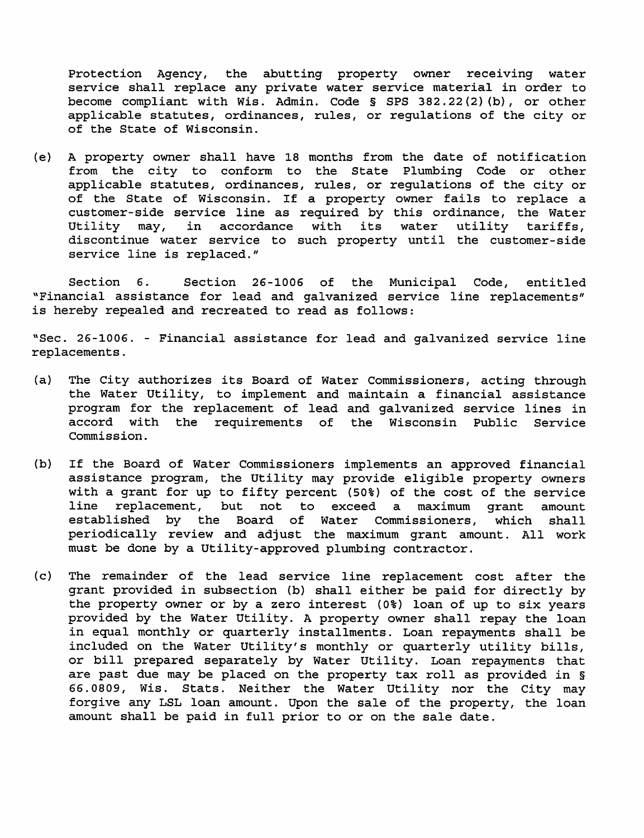the abutting property owner receiving water Protection Agency, service shall replace any private water service material in order to become compliant with Wis. Admin. Code § SPS 382.22(2)(b), or other applicable statutes, ordinances, rules, or regulations of the city or of the State of Wisconsin.

A property owner shall have 18 months from the date of notification (e) from the city to conform to the State Plumbing Code or other applicable statutes, ordinances, rules, or regulations of the city or of the State of Wisconsin. If a property owner fails to replace a customer-side service line as required by this ordinance, the Water its Utility may, in accordance with water utility tariffs, discontinue water service to such property until the customer-side service line is replaced."

Section 6. Section 26-1006 of the Municipal Code, entitled "Financial assistance for lead and galvanized service line replacements" is hereby repealed and recreated to read as follows:

"Sec. 26-1006. - Financial assistance for lead and galvanized service line replacements.

- The City authorizes its Board of Water Commissioners, acting through (a) the Water Utility, to implement and maintain a financial assistance program for the replacement of lead and galvanized service lines in accord with the requirements of the Wisconsin Public Service Commission.
- $(b)$ If the Board of Water Commissioners implements an approved financial assistance program, the Utility may provide eligible property owners with a grant for up to fifty percent (50%) of the cost of the service line replacement, but not to exceed a maximum grant amount Commissioners, established by the Board of Water which shall periodically review and adjust the maximum grant amount. All work must be done by a Utility-approved plumbing contractor.
- $(c)$ The remainder of the lead service line replacement cost after the grant provided in subsection (b) shall either be paid for directly by the property owner or by a zero interest (0%) loan of up to six years provided by the Water Utility. A property owner shall repay the loan in equal monthly or quarterly installments. Loan repayments shall be included on the Water Utility's monthly or quarterly utility bills, or bill prepared separately by Water Utility. Loan repayments that are past due may be placed on the property tax roll as provided in § 66.0809, Wis. Stats. Neither the Water Utility nor the City may forgive any LSL loan amount. Upon the sale of the property, the loan amount shall be paid in full prior to or on the sale date.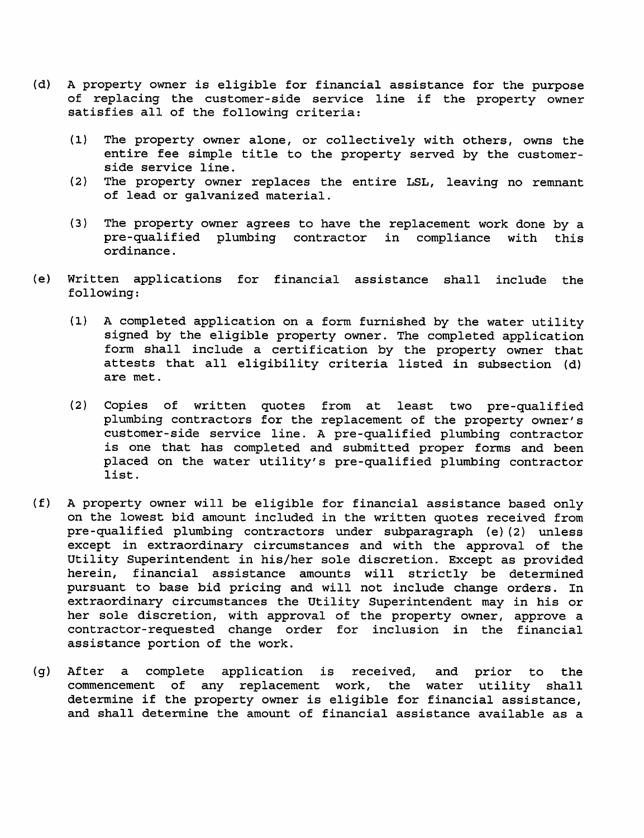- $(d)$ A property owner is eligible for financial assistance for the purpose of replacing the customer-side service line if the property owner satisfies all of the following criteria:
	- $(1)$ The property owner alone, or collectively with others, owns the entire fee simple title to the property served by the customerside service line.
	- The property owner replaces the entire LSL, leaving no remnant  $(2)$ of lead or galvanized material.
	- The property owner agrees to have the replacement work done by a  $(3)$ pre-qualified plumbing contractor in compliance with this ordinance.
- $(e)$ Written applications for financial assistance shall include the following:
	- A completed application on a form furnished by the water utility  $(1)$ signed by the eligible property owner. The completed application form shall include a certification by the property owner that attests that all eligibility criteria listed in subsection (d) are met.
	- $(2)$ Copies of written quotes from at least two pre-qualified plumbing contractors for the replacement of the property owner's customer-side service line. A pre-qualified plumbing contractor is one that has completed and submitted proper forms and been placed on the water utility's pre-qualified plumbing contractor list.
- $(f)$ A property owner will be eligible for financial assistance based only on the lowest bid amount included in the written quotes received from pre-qualified plumbing contractors under subparagraph (e)(2) unless except in extraordinary circumstances and with the approval of the Utility Superintendent in his/her sole discretion. Except as provided herein, financial assistance amounts will strictly be determined pursuant to base bid pricing and will not include change orders. In extraordinary circumstances the Utility Superintendent may in his or her sole discretion, with approval of the property owner, approve a contractor-requested change order for inclusion in the financial assistance portion of the work.
- $(q)$  After  $\mathbf{a}$ complete application is received, and prior the to commencement of any replacement work, the water utility shall determine if the property owner is eligible for financial assistance, and shall determine the amount of financial assistance available as a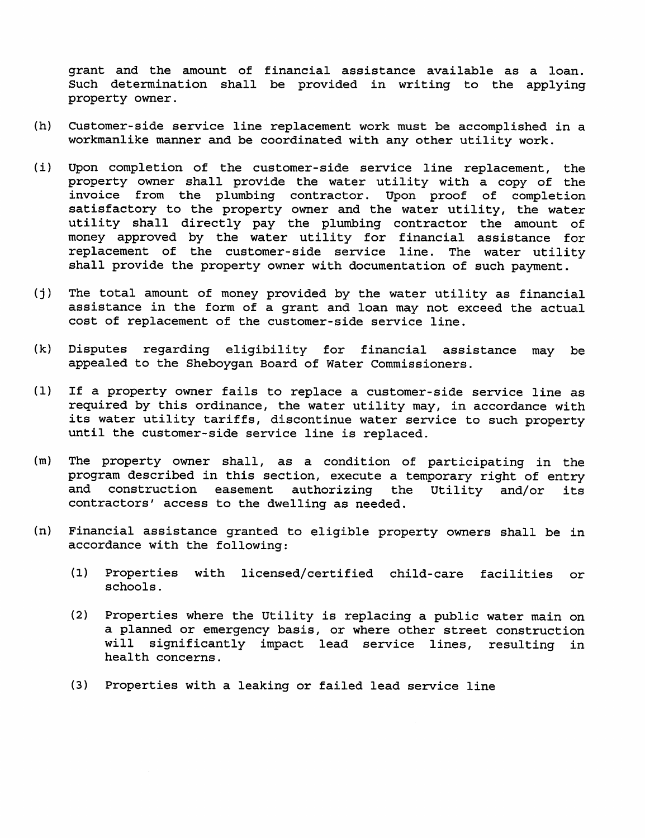grant and the amount of financial assistance available as a loan. Such determination shall be provided in writing to the applying property owner.

- $(h)$ Customer-side service line replacement work must be accomplished in a workmanlike manner and be coordinated with any other utility work.
- $(i)$ Upon completion of the customer-side service line replacement, the property owner shall provide the water utility with a copy of the invoice from the plumbing contractor. Upon proof of completion satisfactory to the property owner and the water utility, the water utility shall directly pay the plumbing contractor the amount of money approved by the water utility for financial assistance for replacement of the customer-side service line. The water utility shall provide the property owner with documentation of such payment.
- $(j)$ The total amount of money provided by the water utility as financial assistance in the form of a grant and loan may not exceed the actual cost of replacement of the customer-side service line.
- $(k)$ Disputes regarding eligibility for financial assistance may be appealed to the Sheboygan Board of Water Commissioners.
- $(1)$ If a property owner fails to replace a customer-side service line as required by this ordinance, the water utility may, in accordance with its water utility tariffs, discontinue water service to such property until the customer-side service line is replaced.
- The property owner shall, as a condition of participating in the  $(m)$ program described in this section, execute a temporary right of entry and construction easement authorizing the Utility and/or its contractors' access to the dwelling as needed.
- Financial assistance granted to eligible property owners shall be in  $(n)$ accordance with the following:
	- $(1)$ Properties with licensed/certified child-care facilities or schools.
	- $(2)$ Properties where the Utility is replacing a public water main on a planned or emergency basis, or where other street construction will significantly impact lead service lines, resulting in health concerns.
	- (3) Properties with a leaking or failed lead service line